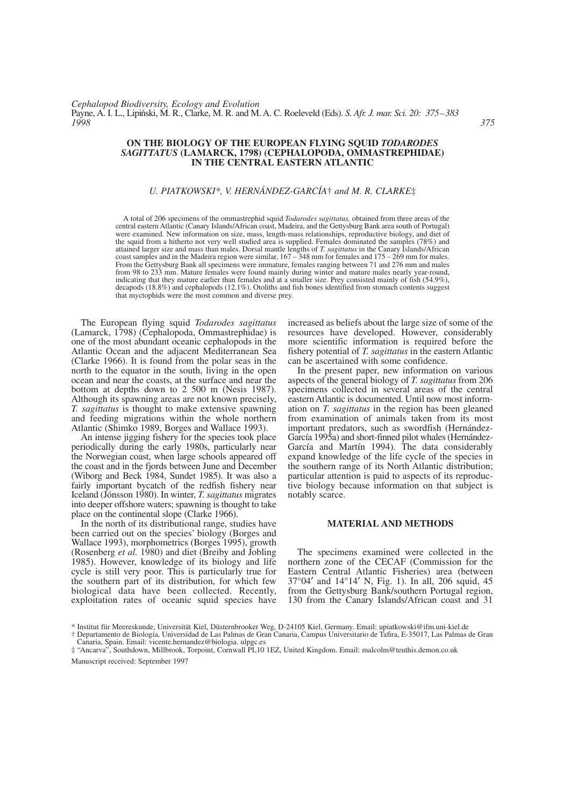# **ON THE BIOLOGY OF THE EUROPEAN FLYING SQUID** *TODARODES SAGITTATUS* **(LAMARCK, 1798) (CEPHALOPODA, OMMASTREPHIDAE) IN THE CENTRAL EASTERN ATLANTIC**

# *U. PIATKOWSKI\*, V. HERNÁNDEZ-GARCÍA*† *and M. R. CLARKE*‡

A total of 206 specimens of the ommastrephid squid *Todarodes sagittatus,* obtained from three areas of the central eastern Atlantic (Canary Islands/African coast, Madeira, and the Gettysburg Bank area south of Portugal) were examined. New information on size, mass, length-mass relationships, reproductive biology, and diet of the squid from a hitherto not very well studied area is supplied. Females dominated the samples (78%) and attained larger size and mass than males. Dorsal mantle lengths of *T. sagittatus* in the Canary Islands/African coast samples and in the Madeira region were similar, 167 – 348 mm for females and 175 – 269 mm for males. From the Gettysburg Bank all specimens were immature, females ranging between 71 and 276 mm and males from 98 to 233 mm. Mature females were found mainly during winter and mature males nearly year-round, indicating that they mature earlier than females and at a smaller size. Prey consisted mainly of fish (54.9%), decapods (18.8%) and cephalopods (12.1%). Otoliths and fish bones identified from stomach contents suggest that myctophids were the most common and diverse prey.

The European flying squid *Todarodes sagittatus* (Lamarck, 1798) (Cephalopoda, Ommastrephidae) is one of the most abundant oceanic cephalopods in the Atlantic Ocean and the adjacent Mediterranean Sea (Clarke 1966). It is found from the polar seas in the north to the equator in the south, living in the open ocean and near the coasts, at the surface and near the bottom at depths down to 2 500 m (Nesis 1987). Although its spawning areas are not known precisely, *T. sagittatus* is thought to make extensive spawning and feeding migrations within the whole northern Atlantic (Shimko 1989, Borges and Wallace 1993).

An intense jigging fishery for the species took place periodically during the early 1980s, particularly near the Norwegian coast, when large schools appeared off the coast and in the fjords between June and December (Wiborg and Beck 1984, Sundet 1985). It was also a fairly important bycatch of the redfish fishery near Iceland (Jónsson 1980). In winter, *T. sagittatus* migrates into deeper offshore waters; spawning is thought to take place on the continental slope (Clarke 1966).

In the north of its distributional range, studies have been carried out on the species' biology (Borges and Wallace 1993), morphometrics (Borges 1995), growth (Rosenberg *et al.* 1980) and diet (Breiby and Jobling 1985). However, knowledge of its biology and life cycle is still very poor. This is particularly true for the southern part of its distribution, for which few biological data have been collected. Recently, exploitation rates of oceanic squid species have increased as beliefs about the large size of some of the resources have developed. However, considerably more scientific information is required before the fishery potential of *T. sagittatus* in the eastern Atlantic can be ascertained with some confidence.

In the present paper, new information on various aspects of the general biology of *T. sagittatus* from 206 specimens collected in several areas of the central eastern Atlantic is documented. Until now most information on *T. sagittatus* in the region has been gleaned from examination of animals taken from its most important predators, such as swordfish (Hernández-García 1995a) and short-finned pilot whales (Hernández-García and Martín 1994). The data considerably expand knowledge of the life cycle of the species in the southern range of its North Atlantic distribution; particular attention is paid to aspects of its reproductive biology because information on that subject is notably scarce.

# **MATERIAL AND METHODS**

The specimens examined were collected in the northern zone of the CECAF (Commission for the Eastern Central Atlantic Fisheries) area (between 37°04′ and 14°14′ N, Fig. 1). In all, 206 squid, 45 from the Gettysburg Bank/southern Portugal region, 130 from the Canary Islands/African coast and 31

Manuscript received: September 1997

<sup>\*</sup> Institut für Meereskunde, Universität Kiel, Düsternbrooker Weg, D-24105 Kiel, Germany. Email: upiatkowski@ifm.uni-kiel.de

<sup>†</sup> Departamento de Biología, Universidad de Las Palmas de Gran Canaria, Campus Universitario de Tafira, E-35017, Las Palmas de Gran Canaria, Spain. Email: vicente.hernandez@biologia. ulpgc.es

<sup>‡ &</sup>quot;Ancarva", Southdown, Millbrook, Torpoint, Cornwall PL10 1EZ, United Kingdom. Email: malcolm@teuthis.demon.co.uk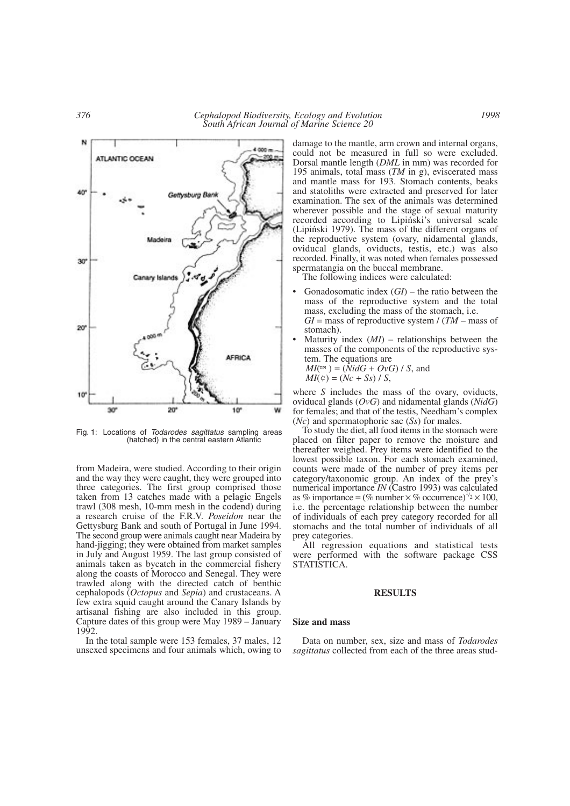$4000m$ ATLANTIC OCEAN 200 40 iettysburg Bani Canary Island 20 **AFRICA** 10  $30'$ 20  $10<sup>n</sup>$ w

Fig. 1: Locations of *Todarodes sagittatus* sampling areas (hatched) in the central eastern Atlantic

from Madeira, were studied. According to their origin and the way they were caught, they were grouped into three categories. The first group comprised those taken from 13 catches made with a pelagic Engels trawl (308 mesh, 10-mm mesh in the codend) during a research cruise of the F.R.V. *Poseidon* near the Gettysburg Bank and south of Portugal in June 1994. The second group were animals caught near Madeira by hand-jigging; they were obtained from market samples in July and August 1959. The last group consisted of animals taken as bycatch in the commercial fishery along the coasts of Morocco and Senegal. They were trawled along with the directed catch of benthic cephalopods (*Octopus* and *Sepia*) and crustaceans. A few extra squid caught around the Canary Islands by artisanal fishing are also included in this group. Capture dates of this group were May 1989 – January 1992.

In the total sample were 153 females, 37 males, 12 unsexed specimens and four animals which, owing to damage to the mantle, arm crown and internal organs, could not be measured in full so were excluded. Dorsal mantle length (*DML* in mm) was recorded for 195 animals, total mass (*TM* in g), eviscerated mass and mantle mass for 193. Stomach contents, beaks and statoliths were extracted and preserved for later examination. The sex of the animals was determined wherever possible and the stage of sexual maturity recorded according to Lipiński's universal scale (Lipin´ski 1979). The mass of the different organs of the reproductive system (ovary, nidamental glands, oviducal glands, oviducts, testis, etc.) was also recorded. Finally, it was noted when females possessed spermatangia on the buccal membrane.

The following indices were calculated:

- Gonadosomatic index (*GI*) the ratio between the mass of the reproductive system and the total mass, excluding the mass of the stomach, i.e.  $GI =$  mass of reproductive system  $/(TM -$  mass of stomach).
- Maturity index  $(MI)$  relationships between the masses of the components of the reproductive system. The equations are  $MI(\mathbb{M}) = (NidG + OvG)/S$ , and

$$
MI(\phi) = (Nc + Ss) / S,
$$

where *S* includes the mass of the ovary, oviducts, oviducal glands (*OvG*) and nidamental glands (*NidG*) for females; and that of the testis, Needham's complex (*Nc*) and spermatophoric sac (*Ss*) for males.

To study the diet, all food items in the stomach were placed on filter paper to remove the moisture and thereafter weighed. Prey items were identified to the lowest possible taxon. For each stomach examined, counts were made of the number of prey items per category/taxonomic group. An index of the prey's numerical importance *IN* (Castro 1993) was calculated as % importance =  $(\%$  number  $\times$  % occurrence)<sup>1/2</sup>  $\times$  100, i.e. the percentage relationship between the number of individuals of each prey category recorded for all stomachs and the total number of individuals of all prey categories.

All regression equations and statistical tests were performed with the software package CSS STATISTICA.

## **RESULTS**

#### **Size and mass**

Data on number, sex, size and mass of *Todarodes sagittatus* collected from each of the three areas stud-

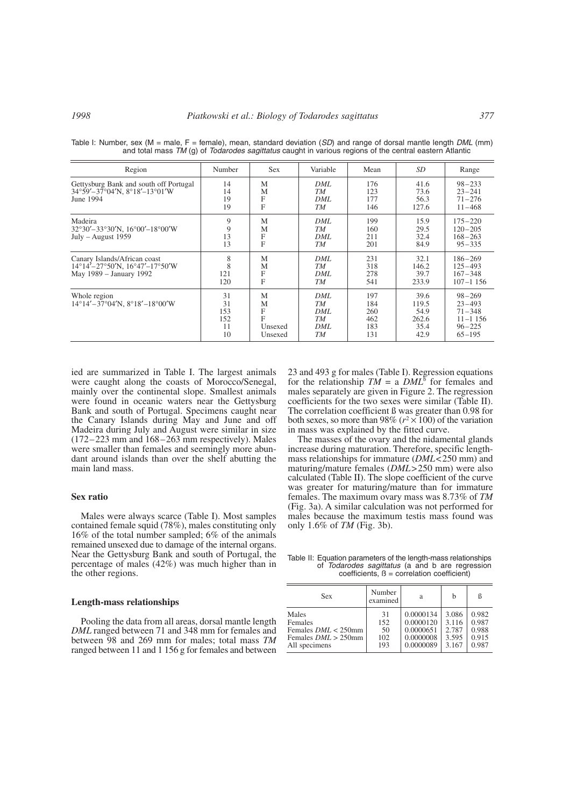| Region                                                                                                                          | Number                             | <b>Sex</b>                             | Variable                            | Mean                                   | SD                                             | Range                                                                             |
|---------------------------------------------------------------------------------------------------------------------------------|------------------------------------|----------------------------------------|-------------------------------------|----------------------------------------|------------------------------------------------|-----------------------------------------------------------------------------------|
| Gettysburg Bank and south off Portugal<br>34°59'-37°04'N, 8°18'-13°01'W<br>June 1994                                            | 14<br>14<br>19<br>19               | M<br>M<br>F<br>F                       | DML<br>TM<br>DML<br>TМ              | 176<br>123<br>177<br>146               | 41.6<br>73.6<br>56.3<br>127.6                  | $98 - 233$<br>$23 - 241$<br>$71 - 276$<br>$11 - 468$                              |
| Madeira<br>$32^{\circ}30' - 33^{\circ}30'$ N, $16^{\circ}00' - 18^{\circ}00'$ W<br>$July - August 1959$                         | 9<br>9<br>13<br>13                 | M<br>M<br>F<br>F                       | DML<br>TМ<br>DML<br>TМ              | 199<br>160<br>211<br>201               | 15.9<br>29.5<br>32.4<br>84.9                   | $175 - 220$<br>$120 - 205$<br>$168 - 263$<br>$95 - 335$                           |
| Canary Islands/African coast<br>$14^{\circ}14' - 27^{\circ}50'$ N, $16^{\circ}47' - 17^{\circ}50'$ W<br>May 1989 – January 1992 | 8<br>8<br>121<br>120               | M<br>M<br>F<br>F                       | DML<br>TМ<br>DML<br>TМ              | 231<br>318<br>278<br>541               | 32.1<br>146.2<br>39.7<br>233.9                 | $186 - 269$<br>$125 - 493$<br>$167 - 348$<br>$107 - 1156$                         |
| Whole region<br>$14^{\circ}14' - 37^{\circ}04'$ N, $8^{\circ}18' - 18^{\circ}00'$ W                                             | 31<br>31<br>153<br>152<br>11<br>10 | M<br>М<br>F<br>F<br>Unsexed<br>Unsexed | DML<br>TМ<br>DML<br>TM<br>DML<br>TМ | 197<br>184<br>260<br>462<br>183<br>131 | 39.6<br>119.5<br>54.9<br>262.6<br>35.4<br>42.9 | $98 - 269$<br>$23 - 493$<br>$71 - 348$<br>$11 - 1156$<br>$96 - 225$<br>$65 - 195$ |

Table I: Number, sex (M = male, F = female), mean, standard deviation (*SD*) and range of dorsal mantle length *DML* (mm) and total mass *TM* (g) of *Todarodes sagittatus* caught in various regions of the central eastern Atlantic

ied are summarized in Table I. The largest animals were caught along the coasts of Morocco/Senegal, mainly over the continental slope. Smallest animals were found in oceanic waters near the Gettysburg Bank and south of Portugal. Specimens caught near the Canary Islands during May and June and off Madeira during July and August were similar in size (172–223 mm and 168–263 mm respectively). Males were smaller than females and seemingly more abundant around islands than over the shelf abutting the main land mass.

# **Sex ratio**

Males were always scarce (Table I). Most samples contained female squid (78%), males constituting only 16% of the total number sampled; 6% of the animals remained unsexed due to damage of the internal organs. Near the Gettysburg Bank and south of Portugal, the percentage of males (42%) was much higher than in the other regions.

## **Length-mass relationships**

Pooling the data from all areas, dorsal mantle length *DML* ranged between 71 and 348 mm for females and between 98 and 269 mm for males; total mass *TM* ranged between 11 and 1 156 g for females and between

23 and 493 g for males (Table I). Regression equations for the relationship  $TM = a DML^5$  for females and males separately are given in Figure 2. The regression coefficients for the two sexes were similar (Table II). The correlation coefficient ß was greater than 0.98 for both sexes, so more than 98% ( $r^2 \times 100$ ) of the variation in mass was explained by the fitted curve.

The masses of the ovary and the nidamental glands increase during maturation. Therefore, specific lengthmass relationships for immature (*DML*<250 mm) and maturing/mature females (*DML*>250 mm) were also calculated (Table II). The slope coefficient of the curve was greater for maturing/mature than for immature females. The maximum ovary mass was 8.73% of *TM* (Fig. 3a). A similar calculation was not performed for males because the maximum testis mass found was only 1.6% of *TM* (Fig. 3b).

Table II: Equation parameters of the length-mass relationships of *Todarodes sagittatus* (a and b are regression  $coefficients, B = correlation coefficient)$ 

| <b>Sex</b>             | Number<br>examined | a         | h     | ß     |
|------------------------|--------------------|-----------|-------|-------|
| Males                  | 31                 | 0.0000134 | 3.086 | 0.982 |
| Females                | 152                | 0.0000120 | 3.116 | 0.987 |
| Females $DML < 250$ mm | 50                 | 0.0000651 | 2.787 | 0.988 |
| Females $DML > 250$ mm | 102                | 0.0000008 | 3.595 | 0.915 |
| All specimens          | 193                | 0.0000089 | 3.167 | 0.987 |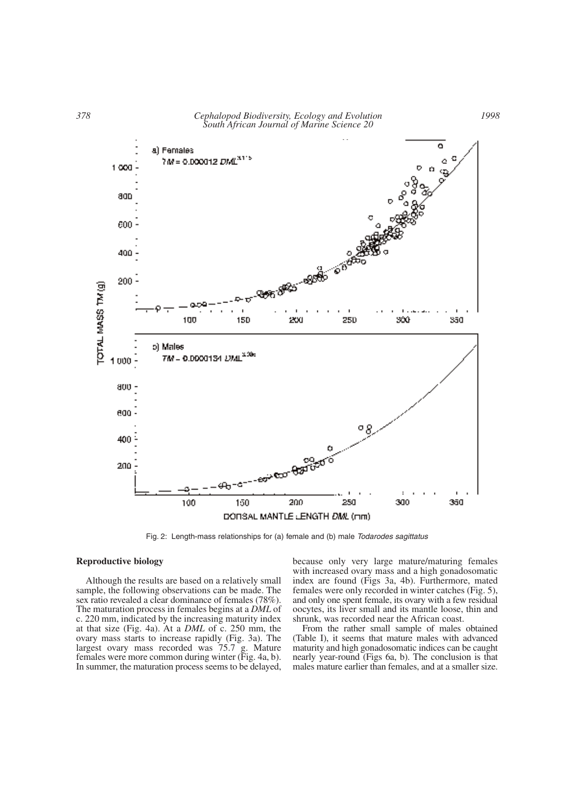

Fig. 2: Length-mass relationships for (a) female and (b) male *Todarodes sagittatus*

## **Reproductive biology**

Although the results are based on a relatively small sample, the following observations can be made. The sex ratio revealed a clear dominance of females (78%). The maturation process in females begins at a *DML* of c. 220 mm, indicated by the increasing maturity index at that size (Fig. 4a). At a *DML* of c. 250 mm, the ovary mass starts to increase rapidly (Fig. 3a). The largest ovary mass recorded was 75.7 g. Mature females were more common during winter (Fig. 4a, b). In summer, the maturation process seems to be delayed, because only very large mature/maturing females with increased ovary mass and a high gonadosomatic index are found (Figs 3a, 4b). Furthermore, mated females were only recorded in winter catches (Fig. 5), and only one spent female, its ovary with a few residual oocytes, its liver small and its mantle loose, thin and shrunk, was recorded near the African coast.

From the rather small sample of males obtained (Table I), it seems that mature males with advanced maturity and high gonadosomatic indices can be caught nearly year-round (Figs 6a, b). The conclusion is that males mature earlier than females, and at a smaller size.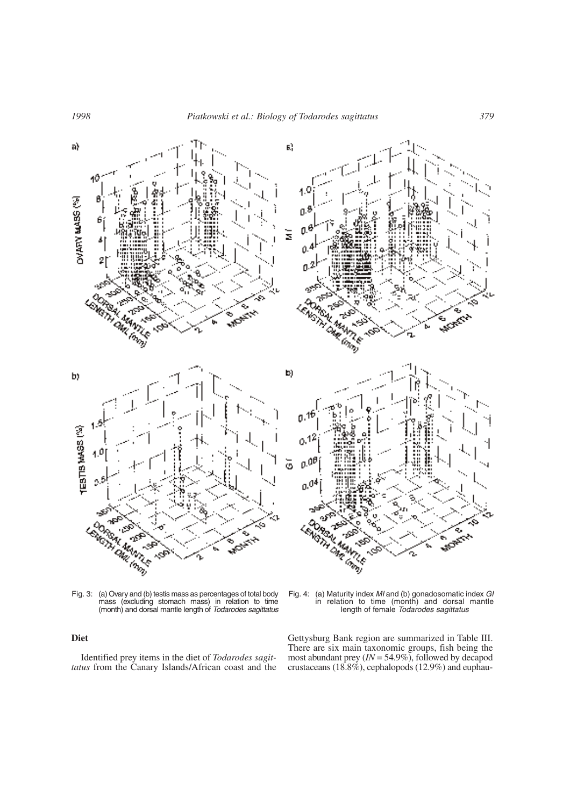

Fig. 3: (a) Ovary and (b) testis mass as percentages of total body mass (excluding stomach mass) in relation to time (month) and dorsal mantle length of *Todarodes sagittatus*

# **Diet**

Identified prey items in the diet of *Todarodes sagittatus* from the Canary Islands/African coast and the Fig. 4: (a) Maturity index *MI* and (b) gonadosomatic index *GI* in relation to time (month) and dorsal mantle length of female *Todarodes sagittatus*

Gettysburg Bank region are summarized in Table III. There are six main taxonomic groups, fish being the most abundant prey (*IN* = 54.9%), followed by decapod crustaceans (18.8%), cephalopods (12.9%) and euphau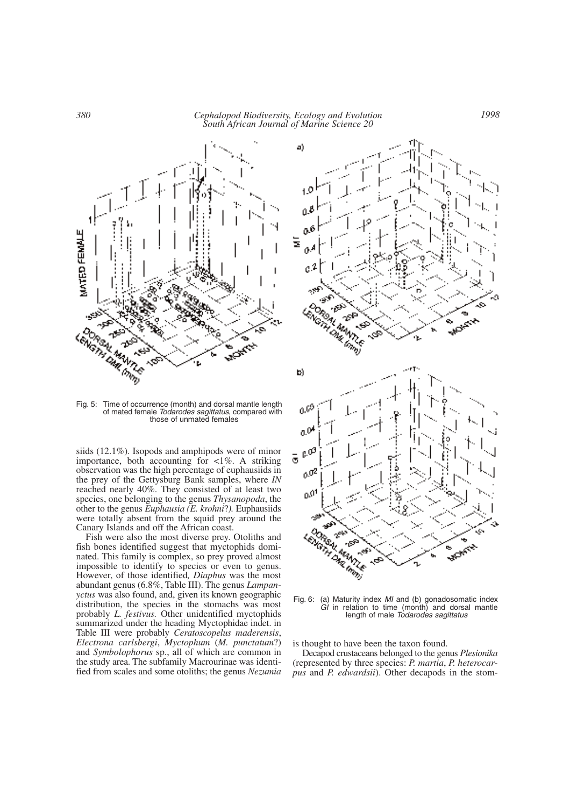*380 Cephalopod Biodiversity, Ecology and Evolution South African Journal of Marine Science 20*



Fig. 5: Time of occurrence (month) and dorsal mantle length of mated female *Todarodes sagittatus*, compared with those of unmated females

siids (12.1%). Isopods and amphipods were of minor importance, both accounting for  $\langle 1\% \rangle$ . A striking observation was the high percentage of euphausiids in the prey of the Gettysburg Bank samples, where *IN* reached nearly 40%. They consisted of at least two species, one belonging to the genus *Thysanopoda*, the other to the genus *Euphausia (E. krohni*?*).* Euphausiids were totally absent from the squid prey around the Canary Islands and off the African coast.

Fish were also the most diverse prey. Otoliths and fish bones identified suggest that myctophids dominated. This family is complex, so prey proved almost impossible to identify to species or even to genus. However, of those identified*, Diaphus* was the most abundant genus (6.8%, Table III). The genus *Lampanyctus* was also found, and, given its known geographic distribution, the species in the stomachs was most probably *L. festivus.* Other unidentified myctophids summarized under the heading Myctophidae indet. in Table III were probably *Ceratoscopelus maderensis*, *Electrona carlsbergi*, *Myctophum* (*M. punctatum*?) and *Symbolophorus* sp., all of which are common in the study area. The subfamily Macrourinae was identified from scales and some otoliths; the genus *Nezumia*



Fig. 6: (a) Maturity index *MI* and (b) gonadosomatic index *GI* in relation to time (month) and dorsal mantle length of male *Todarodes sagittatus*

is thought to have been the taxon found.

Decapod crustaceans belonged to the genus *Plesionika* (represented by three species: *P. martia*, *P. heterocarpus* and *P. edwardsii*). Other decapods in the stom-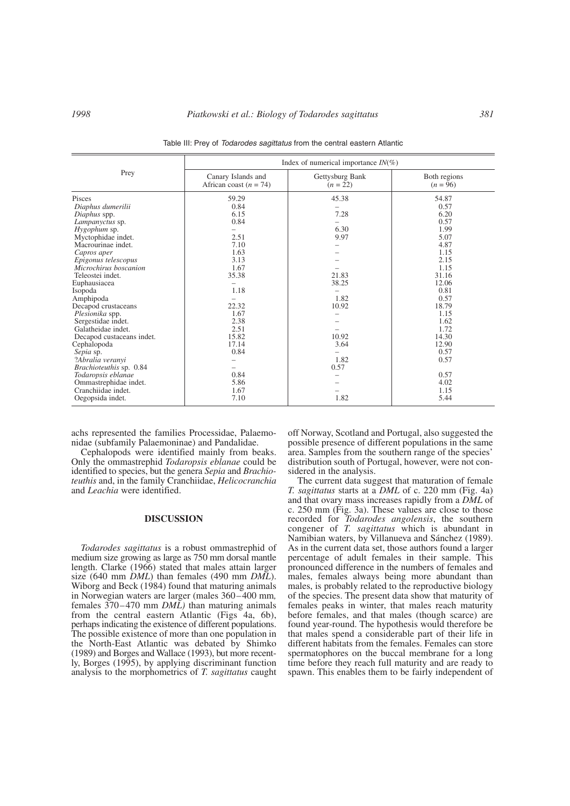|                                                                       | Index of numerical importance $IN(\%)$         |                               |                            |  |  |
|-----------------------------------------------------------------------|------------------------------------------------|-------------------------------|----------------------------|--|--|
| Prey                                                                  | Canary Islands and<br>African coast $(n = 74)$ | Gettysburg Bank<br>$(n = 22)$ | Both regions<br>$(n = 96)$ |  |  |
| Pisces<br>Diaphus dumerilii                                           | 59.29<br>0.84                                  | 45.38                         | 54.87<br>0.57              |  |  |
| Diaphus spp.<br>Lampanyctus sp.<br>Hygophum sp.                       | 6.15<br>0.84                                   | 7.28<br>6.30                  | 6.20<br>0.57<br>1.99       |  |  |
| Myctophidae indet.<br>Macrourinae indet.                              | 2.51<br>7.10                                   | 9.97                          | 5.07<br>4.87               |  |  |
| Capros aper<br>Epigonus telescopus                                    | 1.63<br>3.13                                   |                               | 1.15<br>2.15               |  |  |
| Microchirus boscanion<br>Teleostei indet.<br>Euphausiacea             | 1.67<br>35.38                                  | 21.83<br>38.25                | 1.15<br>31.16<br>12.06     |  |  |
| Isopoda<br>Amphipoda                                                  | 1.18                                           | 1.82                          | 0.81<br>0.57               |  |  |
| Decapod crustaceans<br>Plesionika spp.                                | 22.32<br>1.67<br>2.38                          | 10.92                         | 18.79<br>1.15<br>1.62      |  |  |
| Sergestidae indet.<br>Galatheidae indet.<br>Decapod custaceans indet. | 2.51<br>15.82                                  | 10.92                         | 1.72<br>14.30              |  |  |
| Cephalopoda<br>Sepia sp.                                              | 17.14<br>0.84                                  | 3.64                          | 12.90<br>0.57              |  |  |
| ?Abralia veranyi<br>Brachioteuthis sp. 0.84<br>Todaropsis eblanae     | 0.84                                           | 1.82<br>0.57                  | 0.57<br>0.57               |  |  |
| Ommastrephidae indet.<br>Cranchiidae indet.                           | 5.86<br>1.67                                   |                               | 4.02<br>1.15               |  |  |
| Oegopsida indet.                                                      | 7.10                                           | 1.82                          | 5.44                       |  |  |

Table III: Prey of *Todarodes sagittatus* from the central eastern Atlantic

achs represented the families Processidae, Palaemonidae (subfamily Palaemoninae) and Pandalidae.

Cephalopods were identified mainly from beaks. Only the ommastrephid *Todaropsis eblanae* could be identified to species, but the genera *Sepia* and *Brachioteuthis* and, in the family Cranchiidae, *Helicocranchia* and *Leachia* were identified.

# **DISCUSSION**

*Todarodes sagittatus* is a robust ommastrephid of medium size growing as large as 750 mm dorsal mantle length. Clarke (1966) stated that males attain larger size (640 mm *DML*) than females (490 mm *DML*). Wiborg and Beck (1984) found that maturing animals in Norwegian waters are larger (males 360–400 mm*,* females 370–470 mm *DML)* than maturing animals from the central eastern Atlantic (Figs 4a, 6b), perhaps indicating the existence of different populations. The possible existence of more than one population in the North-East Atlantic was debated by Shimko (1989) and Borges and Wallace (1993), but more recently, Borges (1995), by applying discriminant function analysis to the morphometrics of *T. sagittatus* caught off Norway, Scotland and Portugal, also suggested the possible presence of different populations in the same area. Samples from the southern range of the species' distribution south of Portugal, however, were not considered in the analysis.

The current data suggest that maturation of female *T. sagittatus* starts at a *DML* of c. 220 mm (Fig. 4a) and that ovary mass increases rapidly from a *DML* of c. 250 mm (Fig. 3a). These values are close to those recorded for *Todarodes angolensis*, the southern congener of *T. sagittatus* which is abundant in Namibian waters, by Villanueva and Sánchez (1989). As in the current data set, those authors found a larger percentage of adult females in their sample. This pronounced difference in the numbers of females and males, females always being more abundant than males, is probably related to the reproductive biology of the species. The present data show that maturity of females peaks in winter, that males reach maturity before females, and that males (though scarce) are found year-round. The hypothesis would therefore be that males spend a considerable part of their life in different habitats from the females. Females can store spermatophores on the buccal membrane for a long time before they reach full maturity and are ready to spawn. This enables them to be fairly independent of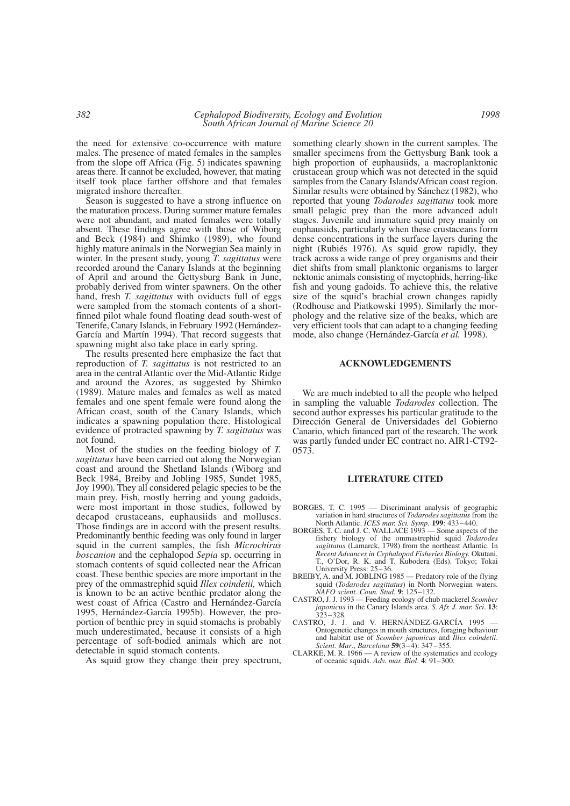the need for extensive co-occurrence with mature males. The presence of mated females in the samples from the slope off Africa (Fig. 5) indicates spawning areas there. It cannot be excluded, however, that mating itself took place farther offshore and that females migrated inshore thereafter.

Season is suggested to have a strong influence on the maturation process. During summer mature females were not abundant, and mated females were totally absent. These findings agree with those of Wiborg and Beck (1984) and Shimko (1989), who found highly mature animals in the Norwegian Sea mainly in winter. In the present study, young *T. sagittatus* were recorded around the Canary Islands at the beginning of April and around the Gettysburg Bank in June, probably derived from winter spawners. On the other hand, fresh *T. sagittatus* with oviducts full of eggs were sampled from the stomach contents of a shortfinned pilot whale found floating dead south-west of Tenerife, Canary Islands, in February 1992 (Hernández-García and Martín 1994). That record suggests that spawning might also take place in early spring.

The results presented here emphasize the fact that reproduction of *T. sagittatus* is not restricted to an area in the central Atlantic over the Mid-Atlantic Ridge and around the Azores, as suggested by Shimko (1989). Mature males and females as well as mated females and one spent female were found along the African coast, south of the Canary Islands, which indicates a spawning population there. Histological evidence of protracted spawning by *T. sagittatus* was not found.

Most of the studies on the feeding biology of *T. sagittatus* have been carried out along the Norwegian coast and around the Shetland Islands (Wiborg and Beck 1984, Breiby and Jobling 1985, Sundet 1985, Joy 1990). They all considered pelagic species to be the main prey. Fish, mostly herring and young gadoids, were most important in those studies, followed by decapod crustaceans, euphausiids and molluscs. Those findings are in accord with the present results. Predominantly benthic feeding was only found in larger squid in the current samples, the fish *Microchirus boscanion* and the cephalopod *Sepia* sp. occurring in stomach contents of squid collected near the African coast. These benthic species are more important in the prey of the ommastrephid squid *Illex coindetii,* which is known to be an active benthic predator along the west coast of Africa (Castro and Hernández-García 1995, Hernández-García 1995b). However, the proportion of benthic prey in squid stomachs is probably much underestimated, because it consists of a high percentage of soft-bodied animals which are not detectable in squid stomach contents.

As squid grow they change their prey spectrum,

something clearly shown in the current samples. The smaller specimens from the Gettysburg Bank took a high proportion of euphausiids, a macroplanktonic crustacean group which was not detected in the squid samples from the Canary Islands/African coast region. Similar results were obtained by Sánchez (1982), who reported that young *Todarodes sagittatus* took more small pelagic prey than the more advanced adult stages. Juvenile and immature squid prey mainly on euphausiids, particularly when these crustaceans form dense concentrations in the surface layers during the night (Rubiés 1976). As squid grow rapidly, they track across a wide range of prey organisms and their diet shifts from small planktonic organisms to larger nektonic animals consisting of myctophids, herring-like fish and young gadoids. To achieve this, the relative size of the squid's brachial crown changes rapidly (Rodhouse and Piatkowski 1995). Similarly the morphology and the relative size of the beaks, which are very efficient tools that can adapt to a changing feeding mode, also change (Hernández-García *et al.* 1998).

#### **ACKNOWLEDGEMENTS**

We are much indebted to all the people who helped in sampling the valuable *Todarodes* collection. The second author expresses his particular gratitude to the Dirección General de Universidades del Gobierno Canario, which financed part of the research. The work was partly funded under EC contract no. AIR1-CT92- 0573.

#### **LITERATURE CITED**

- BORGES, T. C. 1995 Discriminant analysis of geographic variation in hard structures of *Todarodes sagittatus* from the North Atlantic. *ICES mar. Sci. Symp.* **199**: 433–440.
- BORGES, T. C. and J. C. WALLACE 1993 Some aspects of the fishery biology of the ommastrephid squid *Todarodes sagittatus* (Lamarck, 1798) from the northeast Atlantic. In *Recent Advances in Cephalopod Fisheries Biology.* Okutani, T., O'Dor, R. K. and T. Kubodera (Eds). Tokyo; Tokai University Press: 25–36.
- BREIBY, A. and M. JOBLING 1985 Predatory role of the flying squid (*Todarodes sagittatus*) in North Norwegian waters. *NAFO scient. Coun. Stud.* **9**: 125–132.
- CASTRO, J. J. 1993 Feeding ecology of chub mackerel *Scomber japonicus* in the Canary Islands area. *S. Afr. J. mar. Sci*. **13**: 323–328.
- CASTRO, J. J. and V. HERNÁNDEZ-GARCÍA 1995 Ontogenetic changes in mouth structures, foraging behaviour and habitat use of *Scomber japonicus* and *Illex coindetii*. *Scient. Mar*., *Barcelona* **59**(3–4): 347–355.
- CLARKE, M. R. 1966 A review of the systematics and ecology of oceanic squids. *Adv. mar. Biol*. **4**: 91–300.